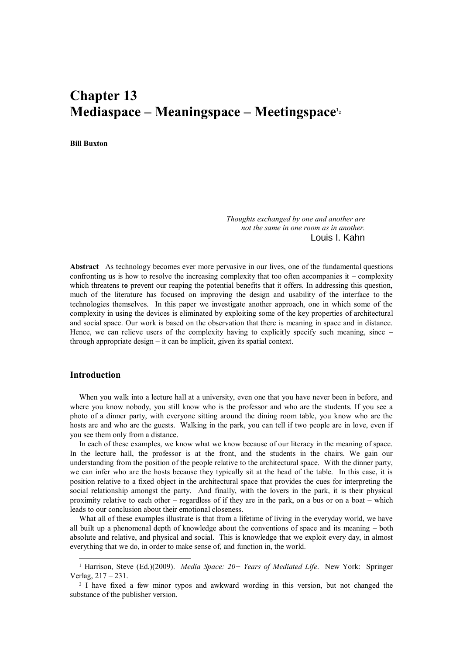# **Chapter 13 Mediaspace – Meaningspace – Meetingspace<sup>1</sup> 2**

**Bill Buxton**

*Thoughts exchanged by one and another are not the same in one room as in another.*  Louis I. Kahn

**Abstract** As technology becomes ever more pervasive in our lives, one of the fundamental questions confronting us is how to resolve the increasing complexity that too often accompanies it – complexity which threatens to prevent our reaping the potential benefits that it offers. In addressing this question, much of the literature has focused on improving the design and usability of the interface to the technologies themselves. In this paper we investigate another approach, one in which some of the complexity in using the devices is eliminated by exploiting some of the key properties of architectural and social space. Our work is based on the observation that there is meaning in space and in distance. Hence, we can relieve users of the complexity having to explicitly specify such meaning, since – through appropriate design – it can be implicit, given its spatial context.

## **Introduction**

 $\overline{a}$ 

When you walk into a lecture hall at a university, even one that you have never been in before, and where you know nobody, you still know who is the professor and who are the students. If you see a photo of a dinner party, with everyone sitting around the dining room table, you know who are the hosts are and who are the guests. Walking in the park, you can tell if two people are in love, even if you see them only from a distance.

In each of these examples, we know what we know because of our literacy in the meaning of space. In the lecture hall, the professor is at the front, and the students in the chairs. We gain our understanding from the position of the people relative to the architectural space. With the dinner party, we can infer who are the hosts because they typically sit at the head of the table. In this case, it is position relative to a fixed object in the architectural space that provides the cues for interpreting the social relationship amongst the party. And finally, with the lovers in the park, it is their physical proximity relative to each other – regardless of if they are in the park, on a bus or on a boat – which leads to our conclusion about their emotional closeness.

What all of these examples illustrate is that from a lifetime of living in the everyday world, we have all built up a phenomenal depth of knowledge about the conventions of space and its meaning – both absolute and relative, and physical and social. This is knowledge that we exploit every day, in almost everything that we do, in order to make sense of, and function in, the world.

<sup>&</sup>lt;sup>1</sup> Harrison, Steve (Ed.)(2009). *Media Space: 20+ Years of Mediated Life*. New York: Springer Verlag, 217 – 231.

<sup>2</sup> I have fixed a few minor typos and awkward wording in this version, but not changed the substance of the publisher version.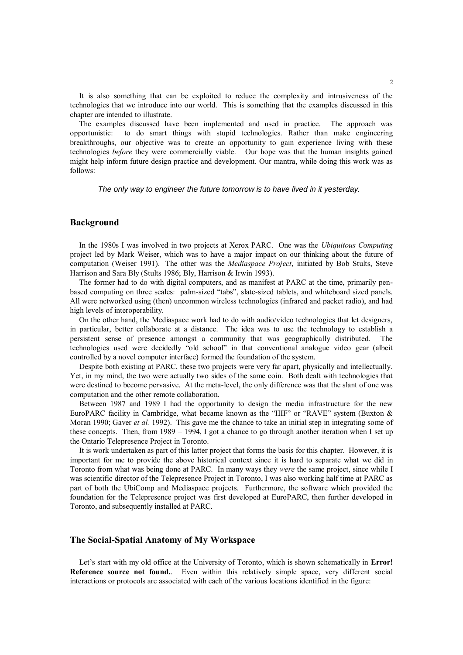It is also something that can be exploited to reduce the complexity and intrusiveness of the technologies that we introduce into our world. This is something that the examples discussed in this chapter are intended to illustrate.

The examples discussed have been implemented and used in practice. The approach was opportunistic: to do smart things with stupid technologies. Rather than make engineering breakthroughs, our objective was to create an opportunity to gain experience living with these technologies *before* they were commercially viable. Our hope was that the human insights gained might help inform future design practice and development. Our mantra, while doing this work was as follows:

*The only way to engineer the future tomorrow is to have lived in it yesterday.* 

## **Background**

In the 1980s I was involved in two projects at Xerox PARC. One was the *Ubiquitous Computing* project led by Mark Weiser, which was to have a major impact on our thinking about the future of computation (Weiser 1991). The other was the *Mediaspace Project*, initiated by Bob Stults, Steve Harrison and Sara Bly (Stults 1986; Bly, Harrison & Irwin 1993).

The former had to do with digital computers, and as manifest at PARC at the time, primarily penbased computing on three scales: palm-sized "tabs", slate-sized tablets, and whiteboard sized panels. All were networked using (then) uncommon wireless technologies (infrared and packet radio), and had high levels of interoperability.

On the other hand, the Mediaspace work had to do with audio/video technologies that let designers, in particular, better collaborate at a distance. The idea was to use the technology to establish a persistent sense of presence amongst a community that was geographically distributed. The technologies used were decidedly "old school" in that conventional analogue video gear (albeit controlled by a novel computer interface) formed the foundation of the system.

Despite both existing at PARC, these two projects were very far apart, physically and intellectually. Yet, in my mind, the two were actually two sides of the same coin. Both dealt with technologies that were destined to become pervasive. At the meta-level, the only difference was that the slant of one was computation and the other remote collaboration.

Between 1987 and 1989 I had the opportunity to design the media infrastructure for the new EuroPARC facility in Cambridge, what became known as the "IIIF" or "RAVE" system (Buxton & Moran 1990; Gaver *et al.* 1992). This gave me the chance to take an initial step in integrating some of these concepts. Then, from 1989 – 1994, I got a chance to go through another iteration when I set up the Ontario Telepresence Project in Toronto.

It is work undertaken as part of this latter project that forms the basis for this chapter. However, it is important for me to provide the above historical context since it is hard to separate what we did in Toronto from what was being done at PARC. In many ways they *were* the same project, since while I was scientific director of the Telepresence Project in Toronto, I was also working half time at PARC as part of both the UbiComp and Mediaspace projects. Furthermore, the software which provided the foundation for the Telepresence project was first developed at EuroPARC, then further developed in Toronto, and subsequently installed at PARC.

# **The Social-Spatial Anatomy of My Workspace**

Let's start with my old office at the University of Toronto, which is shown schematically in **Error! Reference source not found.**. Even within this relatively simple space, very different social interactions or protocols are associated with each of the various locations identified in the figure: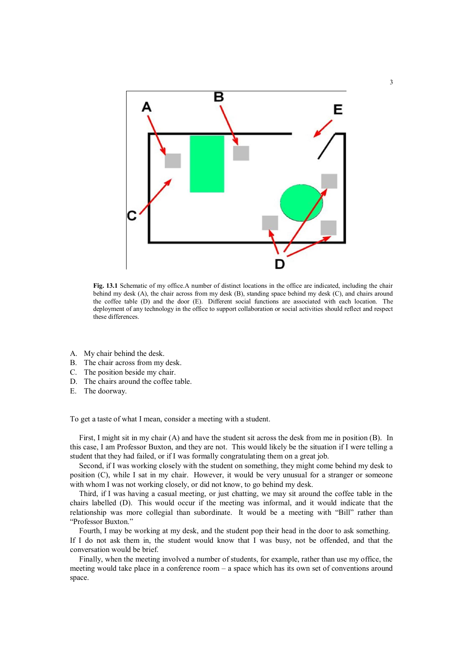

**Fig. 13.1** Schematic of my office.A number of distinct locations in the office are indicated, including the chair behind my desk (A), the chair across from my desk (B), standing space behind my desk (C), and chairs around the coffee table (D) and the door (E). Different social functions are associated with each location. The deployment of any technology in the office to support collaboration or social activities should reflect and respect these differences.

- A. My chair behind the desk.
- B. The chair across from my desk.
- C. The position beside my chair.
- D. The chairs around the coffee table.
- E. The doorway.

To get a taste of what I mean, consider a meeting with a student.

First, I might sit in my chair (A) and have the student sit across the desk from me in position (B). In this case, I am Professor Buxton, and they are not. This would likely be the situation if I were telling a student that they had failed, or if I was formally congratulating them on a great job.

Second, if I was working closely with the student on something, they might come behind my desk to position (C), while I sat in my chair. However, it would be very unusual for a stranger or someone with whom I was not working closely, or did not know, to go behind my desk.

Third, if I was having a casual meeting, or just chatting, we may sit around the coffee table in the chairs labelled (D). This would occur if the meeting was informal, and it would indicate that the relationship was more collegial than subordinate. It would be a meeting with "Bill" rather than "Professor Buxton."

Fourth, I may be working at my desk, and the student pop their head in the door to ask something. If I do not ask them in, the student would know that I was busy, not be offended, and that the conversation would be brief.

Finally, when the meeting involved a number of students, for example, rather than use my office, the meeting would take place in a conference room – a space which has its own set of conventions around space.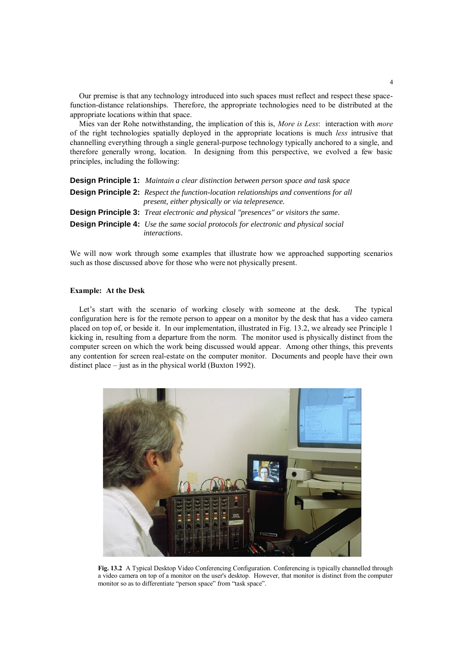Our premise is that any technology introduced into such spaces must reflect and respect these spacefunction-distance relationships. Therefore, the appropriate technologies need to be distributed at the appropriate locations within that space.

Mies van der Rohe notwithstanding, the implication of this is, *More is Less*: interaction with *more* of the right technologies spatially deployed in the appropriate locations is much *less* intrusive that channelling everything through a single general-purpose technology typically anchored to a single, and therefore generally wrong, location. In designing from this perspective, we evolved a few basic principles, including the following:

| <b>Design Principle 1:</b> Maintain a clear distinction between person space and task space                                                       |
|---------------------------------------------------------------------------------------------------------------------------------------------------|
| <b>Design Principle 2:</b> Respect the function-location relationships and conventions for all<br>present, either physically or via telepresence. |
| <b>Design Principle 3:</b> Treat electronic and physical "presences" or visitors the same.                                                        |
| <b>Design Principle 4:</b> Use the same social protocols for electronic and physical social<br><i>interactions.</i>                               |

We will now work through some examples that illustrate how we approached supporting scenarios such as those discussed above for those who were not physically present.

#### **Example: At the Desk**

Let's start with the scenario of working closely with someone at the desk. The typical configuration here is for the remote person to appear on a monitor by the desk that has a video camera placed on top of, or beside it. In our implementation, illustrated in Fig. 13.2, we already see Principle 1 kicking in, resulting from a departure from the norm. The monitor used is physically distinct from the computer screen on which the work being discussed would appear. Among other things, this prevents any contention for screen real-estate on the computer monitor. Documents and people have their own distinct place – just as in the physical world (Buxton 1992).

<span id="page-3-0"></span>

**Fig. 13.2** A Typical Desktop Video Conferencing Configuration. Conferencing is typically channelled through a video camera on top of a monitor on the user's desktop. However, that monitor is distinct from the computer monitor so as to differentiate "person space" from "task space".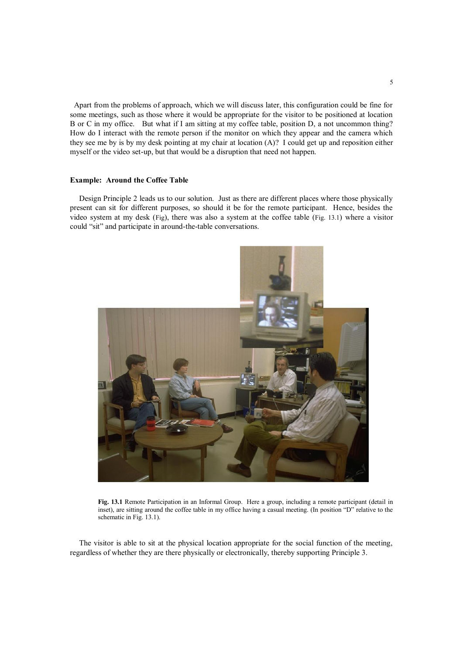Apart from the problems of approach, which we will discuss later, this configuration could be fine for some meetings, such as those where it would be appropriate for the visitor to be positioned at location B or C in my office. But what if I am sitting at my coffee table, position D, a not uncommon thing? How do I interact with the remote person if the monitor on which they appear and the camera which they see me by is by my desk pointing at my chair at location (A)? I could get up and reposition either myself or the video set-up, but that would be a disruption that need not happen.

### **Example: Around the Coffee Table**

Design Principle 2 leads us to our solution. Just as there are different places where those physically present can sit for different purposes, so should it be for the remote participant. Hence, besides the video system at my desk ([Fig](#page-3-0)), there was also a system at the coffee table ([Fig. 13.1](#page-4-0)) where a visitor could "sit" and participate in around-the-table conversations.



**Fig. 13.1** Remote Participation in an Informal Group. Here a group, including a remote participant (detail in inset), are sitting around the coffee table in my office having a casual meeting. (In position "D" relative to the schematic in Fig. 13.1).

<span id="page-4-0"></span>The visitor is able to sit at the physical location appropriate for the social function of the meeting, regardless of whether they are there physically or electronically, thereby supporting Principle 3.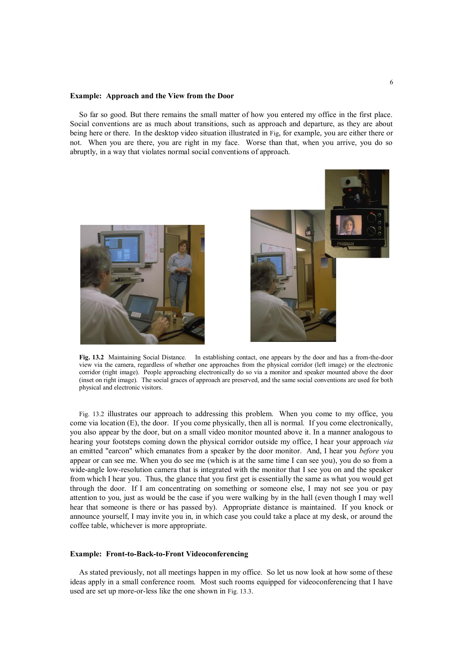#### **Example: Approach and the View from the Door**

So far so good. But there remains the small matter of how you entered my office in the first place. Social conventions are as much about transitions, such as approach and departure, as they are about being here or there. In the desktop video situation illustrated in [Fig](#page-3-0), for example, you are either there or not. When you are there, you are right in my face. Worse than that, when you arrive, you do so abruptly, in a way that violates normal social conventions of approach.





**Fig. 13.2** Maintaining Social Distance. In establishing contact, one appears by the door and has a from-the-door view via the camera, regardless of whether one approaches from the physical corridor (left image) or the electronic corridor (right image). People approaching electronically do so via a monitor and speaker mounted above the door (inset on right image). The social graces of approach are preserved, and the same social conventions are used for both physical and electronic visitors.

<span id="page-5-0"></span>[Fig. 13.2](#page-5-0) illustrates our approach to addressing this problem. When you come to my office, you come via location (E), the door. If you come physically, then all is normal. If you come electronically, you also appear by the door, but on a small video monitor mounted above it. In a manner analogous to hearing your footsteps coming down the physical corridor outside my office, I hear your approach *via*  an emitted "earcon" which emanates from a speaker by the door monitor. And, I hear you *before* you appear or can see me. When you do see me (which is at the same time I can see you), you do so from a wide-angle low-resolution camera that is integrated with the monitor that I see you on and the speaker from which I hear you. Thus, the glance that you first get is essentially the same as what you would get through the door. If I am concentrating on something or someone else, I may not see you or pay attention to you, just as would be the case if you were walking by in the hall (even though I may well hear that someone is there or has passed by). Appropriate distance is maintained. If you knock or announce yourself, I may invite you in, in which case you could take a place at my desk, or around the coffee table, whichever is more appropriate.

#### **Example: Front-to-Back-to-Front Videoconferencing**

As stated previously, not all meetings happen in my office. So let us now look at how some of these ideas apply in a small conference room. Most such rooms equipped for videoconferencing that I have used are set up more-or-less like the one shown in [Fig. 13.3](#page-6-0).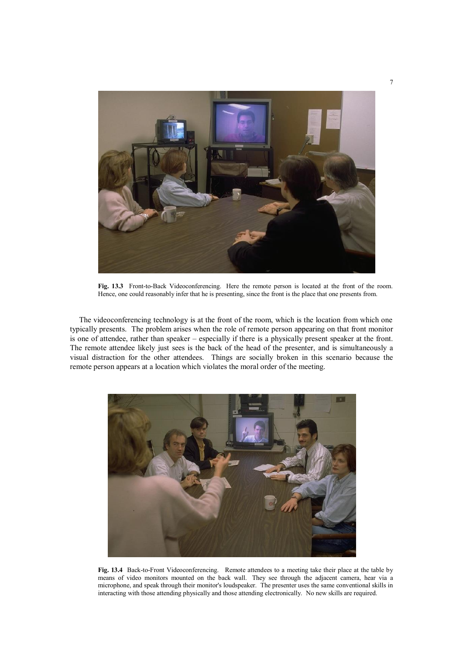

**Fig. 13.3** Front-to-Back Videoconferencing. Here the remote person is located at the front of the room. Hence, one could reasonably infer that he is presenting, since the front is the place that one presents from.

<span id="page-6-0"></span>The videoconferencing technology is at the front of the room, which is the location from which one typically presents. The problem arises when the role of remote person appearing on that front monitor is one of attendee, rather than speaker – especially if there is a physically present speaker at the front. The remote attendee likely just sees is the back of the head of the presenter, and is simultaneously a visual distraction for the other attendees. Things are socially broken in this scenario because the remote person appears at a location which violates the moral order of the meeting.

<span id="page-6-1"></span>

**Fig. 13.4** Back-to-Front Videoconferencing. Remote attendees to a meeting take their place at the table by means of video monitors mounted on the back wall. They see through the adjacent camera, hear via a microphone, and speak through their monitor's loudspeaker. The presenter uses the same conventional skills in interacting with those attending physically and those attending electronically. No new skills are required.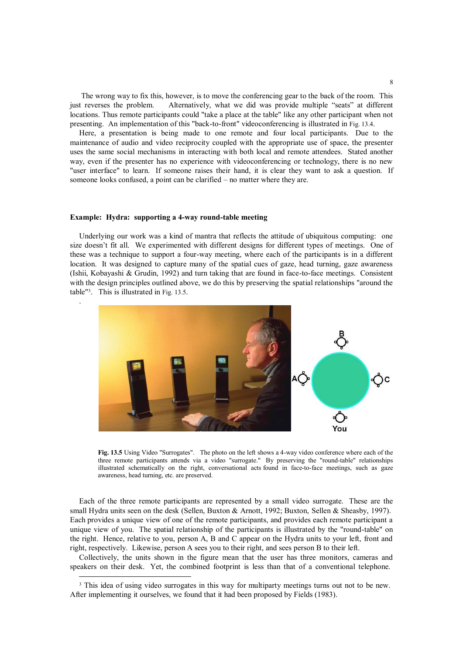The wrong way to fix this, however, is to move the conferencing gear to the back of the room. This just reverses the problem. Alternatively, what we did was provide multiple "seats" at different locations. Thus remote participants could "take a place at the table" like any other participant when not presenting. An implementation of this "back-to-front" videoconferencing is illustrated in [Fig. 13.4](#page-6-1).

Here, a presentation is being made to one remote and four local participants. Due to the maintenance of audio and video reciprocity coupled with the appropriate use of space, the presenter uses the same social mechanisms in interacting with both local and remote attendees. Stated another way, even if the presenter has no experience with videoconferencing or technology, there is no new "user interface" to learn. If someone raises their hand, it is clear they want to ask a question. If someone looks confused, a point can be clarified – no matter where they are.

#### **Example: Hydra: supporting a 4-way round-table meeting**

.

 $\overline{a}$ 

Underlying our work was a kind of mantra that reflects the attitude of ubiquitous computing: one size doesn't fit all. We experimented with different designs for different types of meetings. One of these was a technique to support a four-way meeting, where each of the participants is in a different location. It was designed to capture many of the spatial cues of gaze, head turning, gaze awareness (Ishii, Kobayashi & Grudin, 1992) and turn taking that are found in face-to-face meetings. Consistent with the design principles outlined above, we do this by preserving the spatial relationships "around the table"<sup>3</sup> . This is illustrated in [Fig. 13.5](#page-7-0).



<span id="page-7-0"></span>**Fig. 13.5** Using Video "Surrogates". The photo on the left shows a 4-way video conference where each of the three remote participants attends via a video "surrogate." By preserving the "round-table" relationships illustrated schematically on the right, conversational acts found in face-to-face meetings, such as gaze awareness, head turning, etc. are preserved.

Each of the three remote participants are represented by a small video surrogate. These are the small Hydra units seen on the desk (Sellen, Buxton & Arnott, 1992; Buxton, Sellen & Sheasby, 1997). Each provides a unique view of one of the remote participants, and provides each remote participant a unique view of you. The spatial relationship of the participants is illustrated by the "round-table" on the right. Hence, relative to you, person A, B and C appear on the Hydra units to your left, front and right, respectively. Likewise, person A sees you to their right, and sees person B to their left.

Collectively, the units shown in the figure mean that the user has three monitors, cameras and speakers on their desk. Yet, the combined footprint is less than that of a conventional telephone.

<sup>&</sup>lt;sup>3</sup> This idea of using video surrogates in this way for multiparty meetings turns out not to be new. After implementing it ourselves, we found that it had been proposed by Fields (1983).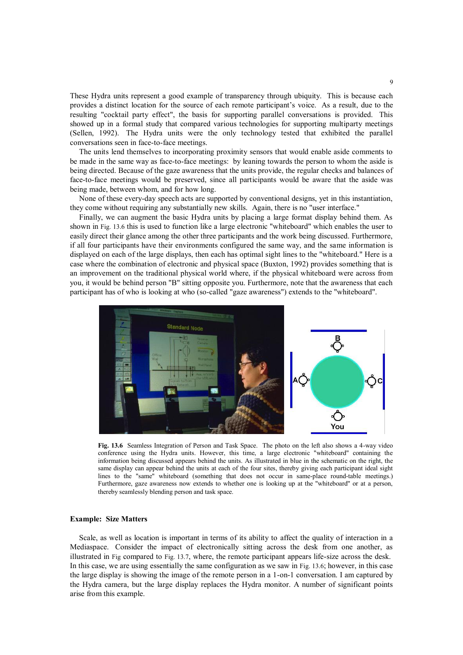These Hydra units represent a good example of transparency through ubiquity. This is because each provides a distinct location for the source of each remote participant's voice. As a result, due to the resulting "cocktail party effect", the basis for supporting parallel conversations is provided. This showed up in a formal study that compared various technologies for supporting multiparty meetings (Sellen, 1992). The Hydra units were the only technology tested that exhibited the parallel conversations seen in face-to-face meetings.

The units lend themselves to incorporating proximity sensors that would enable aside comments to be made in the same way as face-to-face meetings: by leaning towards the person to whom the aside is being directed. Because of the gaze awareness that the units provide, the regular checks and balances of face-to-face meetings would be preserved, since all participants would be aware that the aside was being made, between whom, and for how long.

None of these every-day speech acts are supported by conventional designs, yet in this instantiation, they come without requiring any substantially new skills. Again, there is no "user interface."

Finally, we can augment the basic Hydra units by placing a large format display behind them. As shown in [Fig. 13.6](#page-8-0) this is used to function like a large electronic "whiteboard" which enables the user to easily direct their glance among the other three participants and the work being discussed. Furthermore, if all four participants have their environments configured the same way, and the same information is displayed on each of the large displays, then each has optimal sight lines to the "whiteboard." Here is a case where the combination of electronic and physical space (Buxton, 1992) provides something that is an improvement on the traditional physical world where, if the physical whiteboard were across from you, it would be behind person "B" sitting opposite you. Furthermore, note that the awareness that each participant has of who is looking at who (so-called "gaze awareness") extends to the "whiteboard".



<span id="page-8-0"></span>**Fig. 13.6** Seamless Integration of Person and Task Space. The photo on the left also shows a 4-way video conference using the Hydra units. However, this time, a large electronic "whiteboard" containing the information being discussed appears behind the units. As illustrated in blue in the schematic on the right, the same display can appear behind the units at each of the four sites, thereby giving each participant ideal sight lines to the "same" whiteboard (something that does not occur in same-place round-table meetings.) Furthermore, gaze awareness now extends to whether one is looking up at the "whiteboard" or at a person, thereby seamlessly blending person and task space.

#### **Example: Size Matters**

Scale, as well as location is important in terms of its ability to affect the quality of interaction in a Mediaspace. Consider the impact of electronically sitting across the desk from one another, as illustrated in [Fig](#page-3-0) compared to [Fig. 13.7](#page-9-0), where, the remote participant appears life-size across the desk. In this case, we are using essentially the same configuration as we saw in [Fig. 13.6](#page-8-0); however, in this case the large display is showing the image of the remote person in a 1-on-1 conversation. I am captured by the Hydra camera, but the large display replaces the Hydra monitor. A number of significant points arise from this example.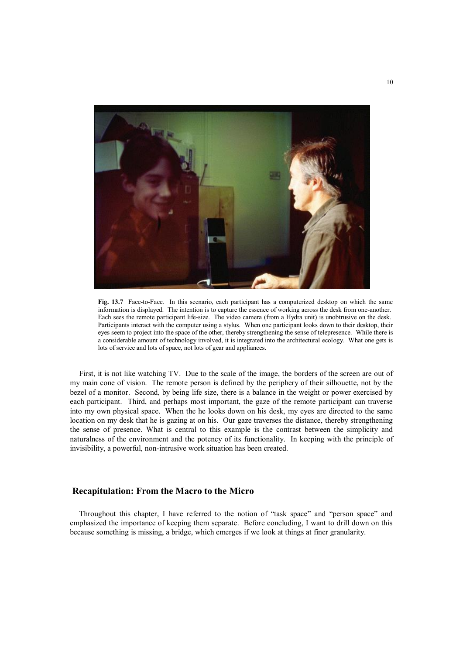

<span id="page-9-0"></span>**Fig. 13.7** Face-to-Face. In this scenario, each participant has a computerized desktop on which the same information is displayed. The intention is to capture the essence of working across the desk from one-another. Each sees the remote participant life-size. The video camera (from a Hydra unit) is unobtrusive on the desk. Participants interact with the computer using a stylus. When one participant looks down to their desktop, their eyes seem to project into the space of the other, thereby strengthening the sense of telepresence. While there is a considerable amount of technology involved, it is integrated into the architectural ecology. What one gets is lots of service and lots of space, not lots of gear and appliances.

First, it is not like watching TV. Due to the scale of the image, the borders of the screen are out of my main cone of vision. The remote person is defined by the periphery of their silhouette, not by the bezel of a monitor. Second, by being life size, there is a balance in the weight or power exercised by each participant. Third, and perhaps most important, the gaze of the remote participant can traverse into my own physical space. When the he looks down on his desk, my eyes are directed to the same location on my desk that he is gazing at on his. Our gaze traverses the distance, thereby strengthening the sense of presence. What is central to this example is the contrast between the simplicity and naturalness of the environment and the potency of its functionality. In keeping with the principle of invisibility, a powerful, non-intrusive work situation has been created.

# **Recapitulation: From the Macro to the Micro**

Throughout this chapter, I have referred to the notion of "task space" and "person space" and emphasized the importance of keeping them separate. Before concluding, I want to drill down on this because something is missing, a bridge, which emerges if we look at things at finer granularity.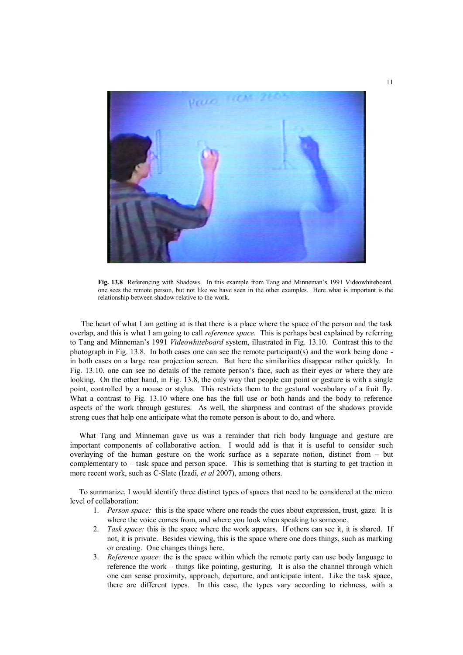

**Fig. 13.8** Referencing with Shadows. In this example from Tang and Minneman's 1991 Videowhiteboard, one sees the remote person, but not like we have seen in the other examples. Here what is important is the relationship between shadow relative to the work.

The heart of what I am getting at is that there is a place where the space of the person and the task overlap, and this is what I am going to call *reference space.* This is perhaps best explained by referring to Tang and Minneman's 1991 *Videowhiteboard* system, illustrated in Fig. 13.10. Contrast this to the photograph in Fig. 13.8. In both cases one can see the remote participant(s) and the work being done in both cases on a large rear projection screen. But here the similarities disappear rather quickly. In Fig. 13.10, one can see no details of the remote person's face, such as their eyes or where they are looking. On the other hand, in Fig. 13.8, the only way that people can point or gesture is with a single point, controlled by a mouse or stylus. This restricts them to the gestural vocabulary of a fruit fly. What a contrast to Fig. 13.10 where one has the full use or both hands and the body to reference aspects of the work through gestures. As well, the sharpness and contrast of the shadows provide strong cues that help one anticipate what the remote person is about to do, and where.

What Tang and Minneman gave us was a reminder that rich body language and gesture are important components of collaborative action. I would add is that it is useful to consider such overlaying of the human gesture on the work surface as a separate notion, distinct from – but complementary to – task space and person space. This is something that is starting to get traction in more recent work, such as C-Slate (Izadi, *et al* 2007), among others.

To summarize, I would identify three distinct types of spaces that need to be considered at the micro level of collaboration:

- 1. *Person space:* this is the space where one reads the cues about expression, trust, gaze. It is where the voice comes from, and where you look when speaking to someone.
- 2. *Task space:* this is the space where the work appears. If others can see it, it is shared. If not, it is private. Besides viewing, this is the space where one does things, such as marking or creating. One changes things here.
- 3. *Reference space:* the is the space within which the remote party can use body language to reference the work – things like pointing, gesturing. It is also the channel through which one can sense proximity, approach, departure, and anticipate intent. Like the task space, there are different types. In this case, the types vary according to richness, with a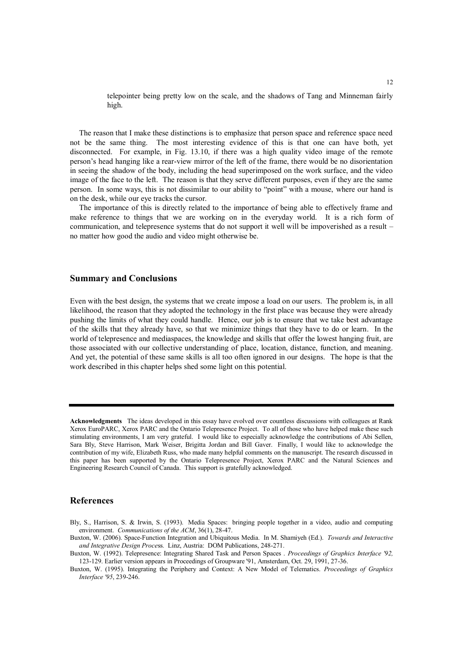telepointer being pretty low on the scale, and the shadows of Tang and Minneman fairly high.

The reason that I make these distinctions is to emphasize that person space and reference space need not be the same thing. The most interesting evidence of this is that one can have both, yet disconnected. For example, in Fig. 13.10, if there was a high quality video image of the remote person's head hanging like a rear-view mirror of the left of the frame, there would be no disorientation in seeing the shadow of the body, including the head superimposed on the work surface, and the video image of the face to the left. The reason is that they serve different purposes, even if they are the same person. In some ways, this is not dissimilar to our ability to "point" with a mouse, where our hand is on the desk, while our eye tracks the cursor.

The importance of this is directly related to the importance of being able to effectively frame and make reference to things that we are working on in the everyday world. It is a rich form of communication, and telepresence systems that do not support it well will be impoverished as a result – no matter how good the audio and video might otherwise be.

## **Summary and Conclusions**

Even with the best design, the systems that we create impose a load on our users. The problem is, in all likelihood, the reason that they adopted the technology in the first place was because they were already pushing the limits of what they could handle. Hence, our job is to ensure that we take best advantage of the skills that they already have, so that we minimize things that they have to do or learn. In the world of telepresence and mediaspaces, the knowledge and skills that offer the lowest hanging fruit, are those associated with our collective understanding of place, location, distance, function, and meaning. And yet, the potential of these same skills is all too often ignored in our designs. The hope is that the work described in this chapter helps shed some light on this potential.

# **References**

- Bly, S., Harrison, S. & Irwin, S. (1993). Media Spaces: bringing people together in a video, audio and computing environment. *Communications of the ACM*, 36(1), 28-47.
- Buxton, W. (2006). Space-Function Integration and Ubiquitous Media. In M. Shamiyeh (Ed.). *Towards and Interactive and Integrative Design Proce*ss*.* Linz, Austria: DOM Publications, 248-271.
- Buxton, W. (1992). Telepresence: Integrating Shared Task and Person Spaces . *Proceedings of Graphics Interface '92,* 123-129. Earlier version appears in Proceedings of Groupware '91, Amsterdam, Oct. 29, 1991, 27-36.
- Buxton, W. (1995). Integrating the Periphery and Context: A New Model of Telematics. *Proceedings of Graphics Interface '95*, 239-246.

**Acknowledgments** The ideas developed in this essay have evolved over countless discussions with colleagues at Rank Xerox EuroPARC, Xerox PARC and the Ontario Telepresence Project. To all of those who have helped make these such stimulating environments, I am very grateful. I would like to especially acknowledge the contributions of Abi Sellen, Sara Bly, Steve Harrison, Mark Weiser, Brigitta Jordan and Bill Gaver. Finally, I would like to acknowledge the contribution of my wife, Elizabeth Russ, who made many helpful comments on the manuscript. The research discussed in this paper has been supported by the Ontario Telepresence Project, Xerox PARC and the Natural Sciences and Engineering Research Council of Canada. This support is gratefully acknowledged.